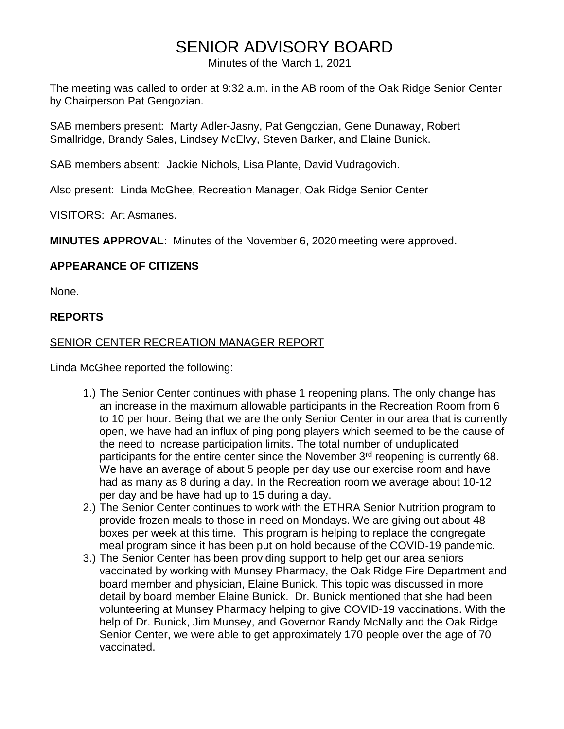# SENIOR ADVISORY BOARD

Minutes of the March 1, 2021

The meeting was called to order at 9:32 a.m. in the AB room of the Oak Ridge Senior Center by Chairperson Pat Gengozian.

SAB members present: Marty Adler-Jasny, Pat Gengozian, Gene Dunaway, Robert Smallridge, Brandy Sales, Lindsey McElvy, Steven Barker, and Elaine Bunick.

SAB members absent: Jackie Nichols, Lisa Plante, David Vudragovich.

Also present: Linda McGhee, Recreation Manager, Oak Ridge Senior Center

VISITORS: Art Asmanes.

**MINUTES APPROVAL**: Minutes of the November 6, 2020 meeting were approved.

# **APPEARANCE OF CITIZENS**

None.

## **REPORTS**

## SENIOR CENTER RECREATION MANAGER REPORT

Linda McGhee reported the following:

- 1.) The Senior Center continues with phase 1 reopening plans. The only change has an increase in the maximum allowable participants in the Recreation Room from 6 to 10 per hour. Being that we are the only Senior Center in our area that is currently open, we have had an influx of ping pong players which seemed to be the cause of the need to increase participation limits. The total number of unduplicated participants for the entire center since the November 3<sup>rd</sup> reopening is currently 68. We have an average of about 5 people per day use our exercise room and have had as many as 8 during a day. In the Recreation room we average about 10-12 per day and be have had up to 15 during a day.
- 2.) The Senior Center continues to work with the ETHRA Senior Nutrition program to provide frozen meals to those in need on Mondays. We are giving out about 48 boxes per week at this time. This program is helping to replace the congregate meal program since it has been put on hold because of the COVID-19 pandemic.
- 3.) The Senior Center has been providing support to help get our area seniors vaccinated by working with Munsey Pharmacy, the Oak Ridge Fire Department and board member and physician, Elaine Bunick. This topic was discussed in more detail by board member Elaine Bunick. Dr. Bunick mentioned that she had been volunteering at Munsey Pharmacy helping to give COVID-19 vaccinations. With the help of Dr. Bunick, Jim Munsey, and Governor Randy McNally and the Oak Ridge Senior Center, we were able to get approximately 170 people over the age of 70 vaccinated.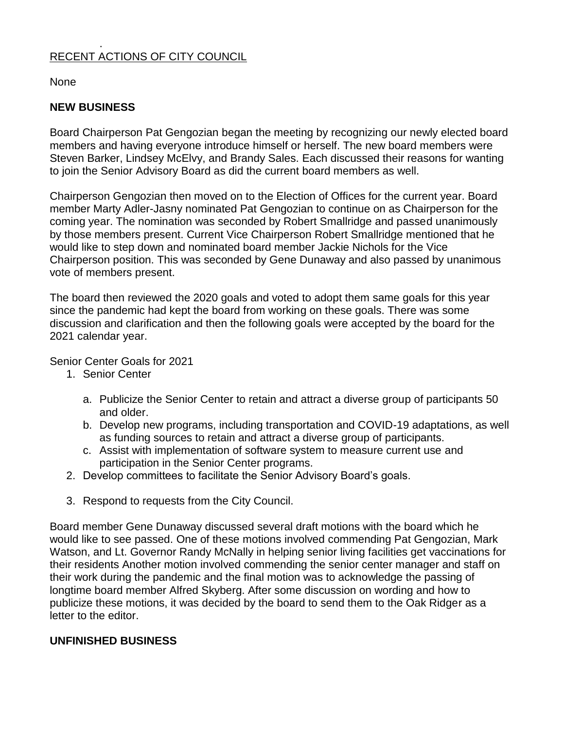#### . RECENT ACTIONS OF CITY COUNCIL

None

# **NEW BUSINESS**

Board Chairperson Pat Gengozian began the meeting by recognizing our newly elected board members and having everyone introduce himself or herself. The new board members were Steven Barker, Lindsey McElvy, and Brandy Sales. Each discussed their reasons for wanting to join the Senior Advisory Board as did the current board members as well.

Chairperson Gengozian then moved on to the Election of Offices for the current year. Board member Marty Adler-Jasny nominated Pat Gengozian to continue on as Chairperson for the coming year. The nomination was seconded by Robert Smallridge and passed unanimously by those members present. Current Vice Chairperson Robert Smallridge mentioned that he would like to step down and nominated board member Jackie Nichols for the Vice Chairperson position. This was seconded by Gene Dunaway and also passed by unanimous vote of members present.

The board then reviewed the 2020 goals and voted to adopt them same goals for this year since the pandemic had kept the board from working on these goals. There was some discussion and clarification and then the following goals were accepted by the board for the 2021 calendar year.

Senior Center Goals for 2021

- 1. Senior Center
	- a. Publicize the Senior Center to retain and attract a diverse group of participants 50 and older.
	- b. Develop new programs, including transportation and COVID-19 adaptations, as well as funding sources to retain and attract a diverse group of participants.
	- c. Assist with implementation of software system to measure current use and participation in the Senior Center programs.
- 2. Develop committees to facilitate the Senior Advisory Board's goals.
- 3. Respond to requests from the City Council.

Board member Gene Dunaway discussed several draft motions with the board which he would like to see passed. One of these motions involved commending Pat Gengozian, Mark Watson, and Lt. Governor Randy McNally in helping senior living facilities get vaccinations for their residents Another motion involved commending the senior center manager and staff on their work during the pandemic and the final motion was to acknowledge the passing of longtime board member Alfred Skyberg. After some discussion on wording and how to publicize these motions, it was decided by the board to send them to the Oak Ridger as a letter to the editor.

## **UNFINISHED BUSINESS**